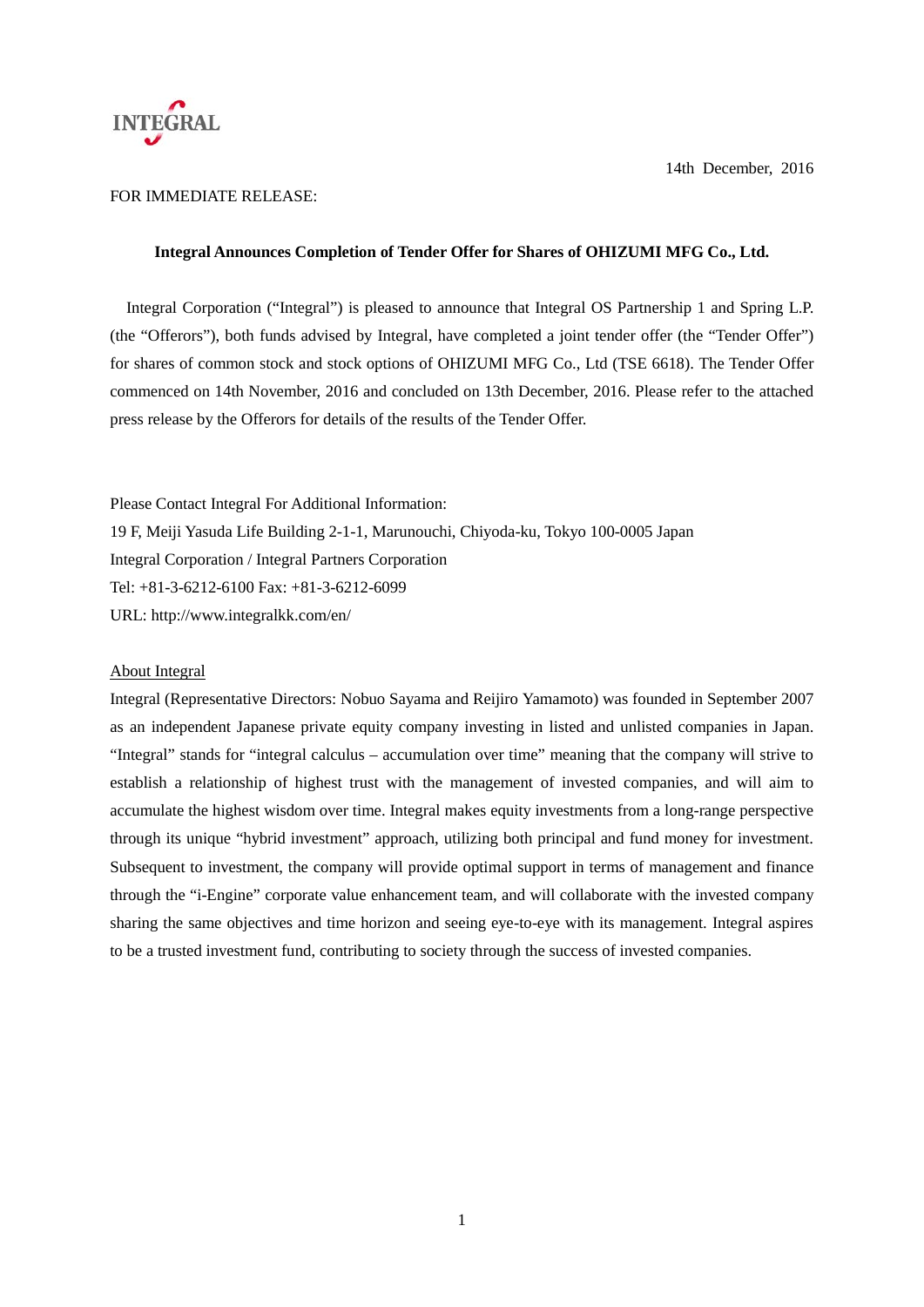

### FOR IMMEDIATE RELEASE:

#### **Integral Announces Completion of Tender Offer for Shares of OHIZUMI MFG Co., Ltd.**

Integral Corporation ("Integral") is pleased to announce that Integral OS Partnership 1 and Spring L.P. (the "Offerors"), both funds advised by Integral, have completed a joint tender offer (the "Tender Offer") for shares of common stock and stock options of OHIZUMI MFG Co., Ltd (TSE 6618). The Tender Offer commenced on 14th November, 2016 and concluded on 13th December, 2016. Please refer to the attached press release by the Offerors for details of the results of the Tender Offer.

Please Contact Integral For Additional Information: 19 F, Meiji Yasuda Life Building 2-1-1, Marunouchi, Chiyoda-ku, Tokyo 100-0005 Japan Integral Corporation / Integral Partners Corporation Tel: +81-3-6212-6100 Fax: +81-3-6212-6099 URL: http://www.integralkk.com/en/

### About Integral

Integral (Representative Directors: Nobuo Sayama and Reijiro Yamamoto) was founded in September 2007 as an independent Japanese private equity company investing in listed and unlisted companies in Japan. "Integral" stands for "integral calculus – accumulation over time" meaning that the company will strive to establish a relationship of highest trust with the management of invested companies, and will aim to accumulate the highest wisdom over time. Integral makes equity investments from a long-range perspective through its unique "hybrid investment" approach, utilizing both principal and fund money for investment. Subsequent to investment, the company will provide optimal support in terms of management and finance through the "i-Engine" corporate value enhancement team, and will collaborate with the invested company sharing the same objectives and time horizon and seeing eye-to-eye with its management. Integral aspires to be a trusted investment fund, contributing to society through the success of invested companies.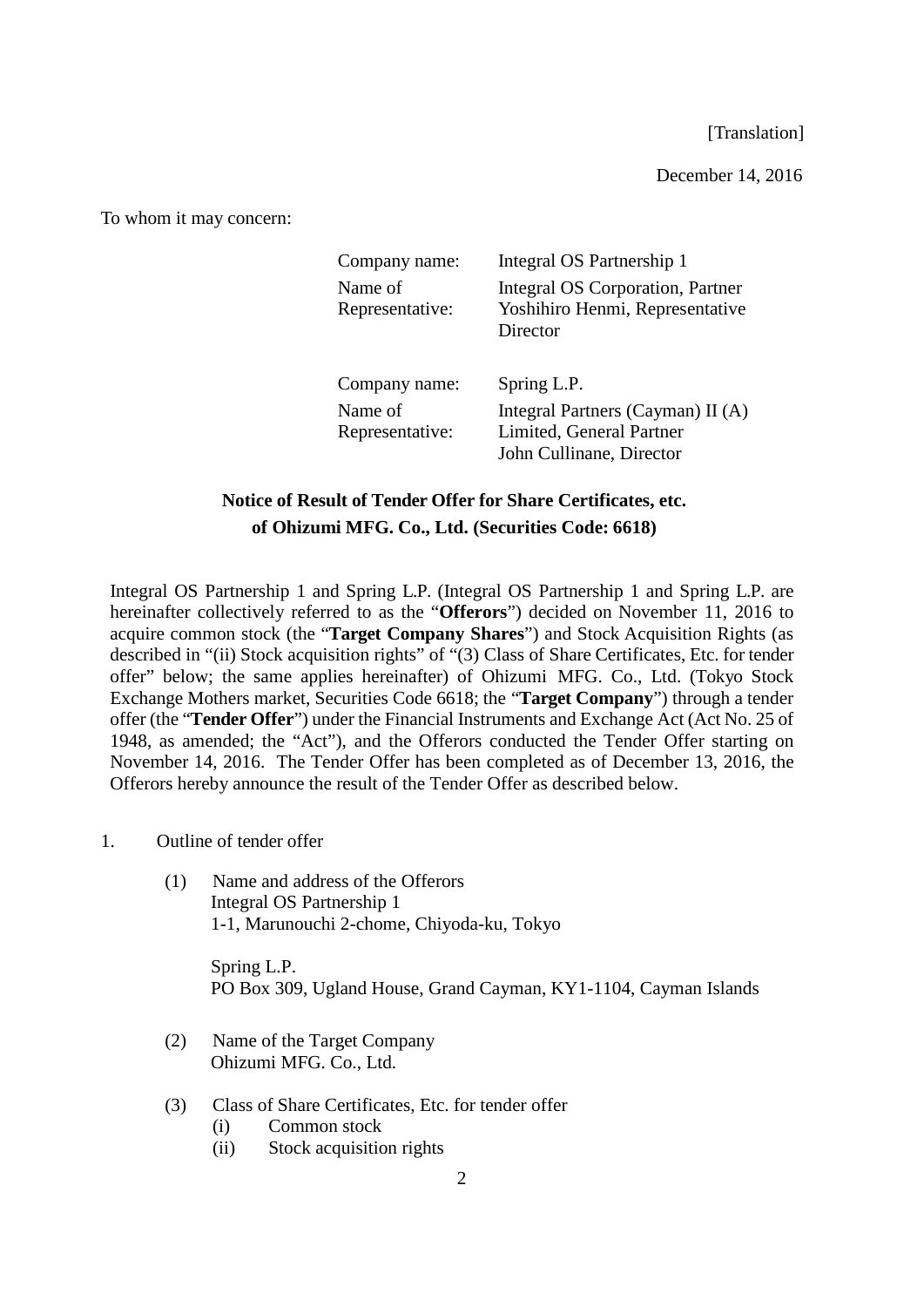[Translation]

December 14, 2016

To whom it may concern:

| Company name:              | Integral OS Partnership 1                                                                 |
|----------------------------|-------------------------------------------------------------------------------------------|
| Name of<br>Representative: | Integral OS Corporation, Partner<br>Yoshihiro Henmi, Representative<br>Director           |
| Company name:              | Spring L.P.                                                                               |
| Name of<br>Representative: | Integral Partners (Cayman) II (A)<br>Limited, General Partner<br>John Cullinane, Director |

# **Notice of Result of Tender Offer for Share Certificates, etc. of Ohizumi MFG. Co., Ltd. (Securities Code: 6618)**

Integral OS Partnership 1 and Spring L.P. (Integral OS Partnership 1 and Spring L.P. are hereinafter collectively referred to as the "**Offerors**") decided on November 11, 2016 to acquire common stock (the "**Target Company Shares**") and Stock Acquisition Rights (as described in "(ii) Stock acquisition rights" of "(3) Class of Share Certificates, Etc. for tender offer" below; the same applies hereinafter) of Ohizumi MFG. Co., Ltd. (Tokyo Stock Exchange Mothers market, Securities Code 6618; the "**Target Company**") through a tender offer (the "**Tender Offer**") under the Financial Instruments and Exchange Act (Act No. 25 of 1948, as amended; the "Act"), and the Offerors conducted the Tender Offer starting on November 14, 2016. The Tender Offer has been completed as of December 13, 2016, the Offerors hereby announce the result of the Tender Offer as described below.

- 1. Outline of tender offer
	- (1) Name and address of the Offerors Integral OS Partnership 1 1-1, Marunouchi 2-chome, Chiyoda-ku, Tokyo

Spring L.P. PO Box 309, Ugland House, Grand Cayman, KY1-1104, Cayman Islands

- (2) Name of the Target Company Ohizumi MFG. Co., Ltd.
- (3) Class of Share Certificates, Etc. for tender offer
	- (i) Common stock
	- (ii) Stock acquisition rights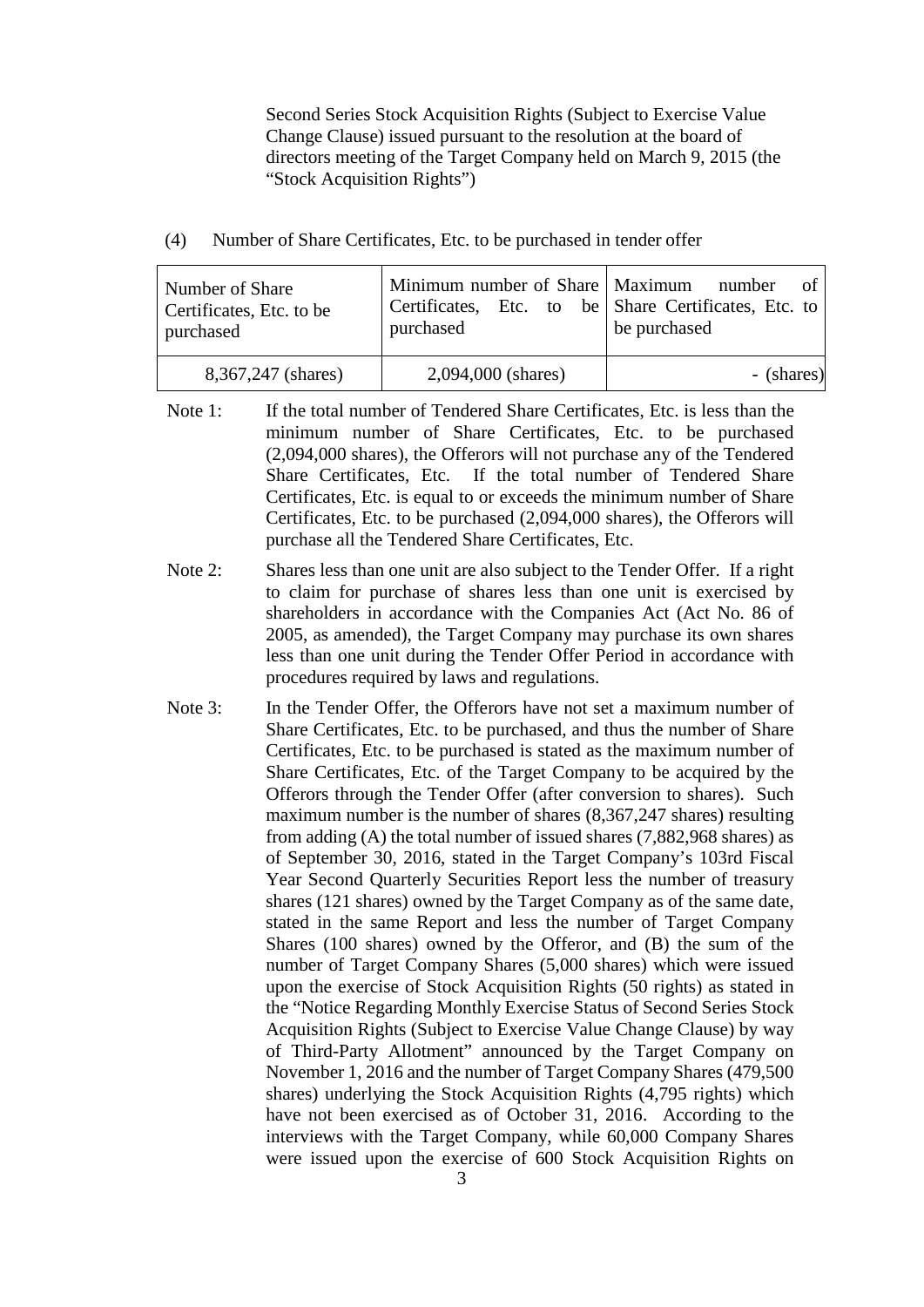Second Series Stock Acquisition Rights (Subject to Exercise Value Change Clause) issued pursuant to the resolution at the board of directors meeting of the Target Company held on March 9, 2015 (the "Stock Acquisition Rights")

(4) Number of Share Certificates, Etc. to be purchased in tender offer

| Number of Share<br>Certificates, Etc. to be<br>purchased | Minimum number of Share   Maximum number of  <br>Certificates, Etc. to be Share Certificates, Etc. to<br>purchased | be purchased |
|----------------------------------------------------------|--------------------------------------------------------------------------------------------------------------------|--------------|
| 8,367,247 (shares)                                       | 2,094,000 (shares)                                                                                                 | - (shares)   |

- Note 1: If the total number of Tendered Share Certificates, Etc. is less than the minimum number of Share Certificates, Etc. to be purchased (2,094,000 shares), the Offerors will not purchase any of the Tendered Share Certificates, Etc. If the total number of Tendered Share Certificates, Etc. is equal to or exceeds the minimum number of Share Certificates, Etc. to be purchased (2,094,000 shares), the Offerors will purchase all the Tendered Share Certificates, Etc.
- Note 2: Shares less than one unit are also subject to the Tender Offer. If a right to claim for purchase of shares less than one unit is exercised by shareholders in accordance with the Companies Act (Act No. 86 of 2005, as amended), the Target Company may purchase its own shares less than one unit during the Tender Offer Period in accordance with procedures required by laws and regulations.
- Note 3: In the Tender Offer, the Offerors have not set a maximum number of Share Certificates, Etc. to be purchased, and thus the number of Share Certificates, Etc. to be purchased is stated as the maximum number of Share Certificates, Etc. of the Target Company to be acquired by the Offerors through the Tender Offer (after conversion to shares). Such maximum number is the number of shares (8,367,247 shares) resulting from adding (A) the total number of issued shares (7,882,968 shares) as of September 30, 2016, stated in the Target Company's 103rd Fiscal Year Second Quarterly Securities Report less the number of treasury shares (121 shares) owned by the Target Company as of the same date, stated in the same Report and less the number of Target Company Shares (100 shares) owned by the Offeror, and (B) the sum of the number of Target Company Shares (5,000 shares) which were issued upon the exercise of Stock Acquisition Rights (50 rights) as stated in the "Notice Regarding Monthly Exercise Status of Second Series Stock Acquisition Rights (Subject to Exercise Value Change Clause) by way of Third-Party Allotment" announced by the Target Company on November 1, 2016 and the number of Target Company Shares (479,500 shares) underlying the Stock Acquisition Rights (4,795 rights) which have not been exercised as of October 31, 2016. According to the interviews with the Target Company, while 60,000 Company Shares were issued upon the exercise of 600 Stock Acquisition Rights on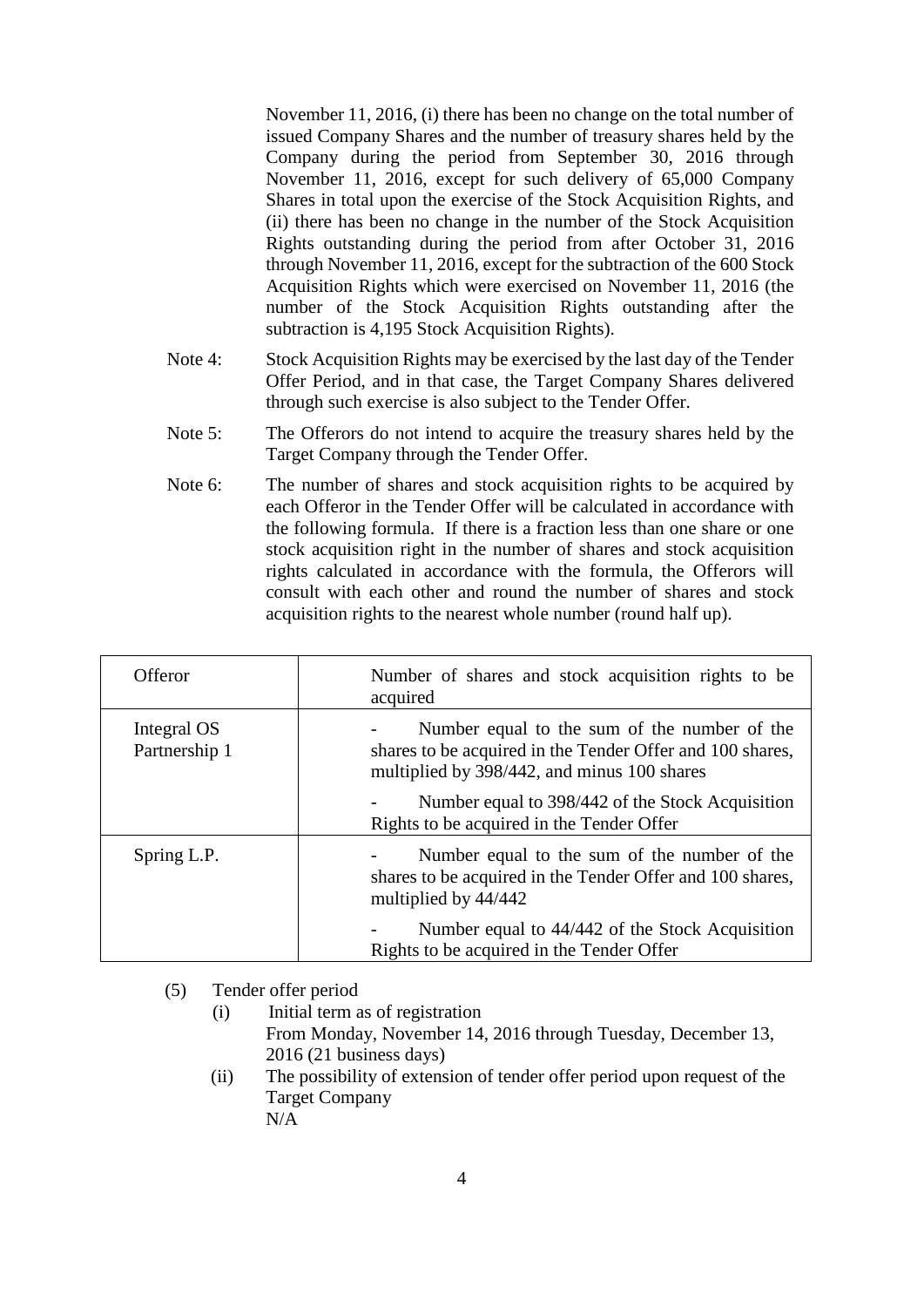November 11, 2016, (i) there has been no change on the total number of issued Company Shares and the number of treasury shares held by the Company during the period from September 30, 2016 through November 11, 2016, except for such delivery of 65,000 Company Shares in total upon the exercise of the Stock Acquisition Rights, and (ii) there has been no change in the number of the Stock Acquisition Rights outstanding during the period from after October 31, 2016 through November 11, 2016, except for the subtraction of the 600 Stock Acquisition Rights which were exercised on November 11, 2016 (the number of the Stock Acquisition Rights outstanding after the subtraction is 4,195 Stock Acquisition Rights).

- Note 4: Stock Acquisition Rights may be exercised by the last day of the Tender Offer Period, and in that case, the Target Company Shares delivered through such exercise is also subject to the Tender Offer.
- Note 5: The Offerors do not intend to acquire the treasury shares held by the Target Company through the Tender Offer.
- Note 6: The number of shares and stock acquisition rights to be acquired by each Offeror in the Tender Offer will be calculated in accordance with the following formula. If there is a fraction less than one share or one stock acquisition right in the number of shares and stock acquisition rights calculated in accordance with the formula, the Offerors will consult with each other and round the number of shares and stock acquisition rights to the nearest whole number (round half up).

| Offeror                      | Number of shares and stock acquisition rights to be<br>acquired                                                                                          |
|------------------------------|----------------------------------------------------------------------------------------------------------------------------------------------------------|
| Integral OS<br>Partnership 1 | Number equal to the sum of the number of the<br>shares to be acquired in the Tender Offer and 100 shares,<br>multiplied by 398/442, and minus 100 shares |
|                              | Number equal to 398/442 of the Stock Acquisition<br>Rights to be acquired in the Tender Offer                                                            |
| Spring L.P.                  | Number equal to the sum of the number of the<br>shares to be acquired in the Tender Offer and 100 shares,<br>multiplied by 44/442                        |
|                              | Number equal to 44/442 of the Stock Acquisition<br>Rights to be acquired in the Tender Offer                                                             |

(5) Tender offer period

- (i) Initial term as of registration From Monday, November 14, 2016 through Tuesday, December 13, 2016 (21 business days)
- (ii) The possibility of extension of tender offer period upon request of the Target Company N/A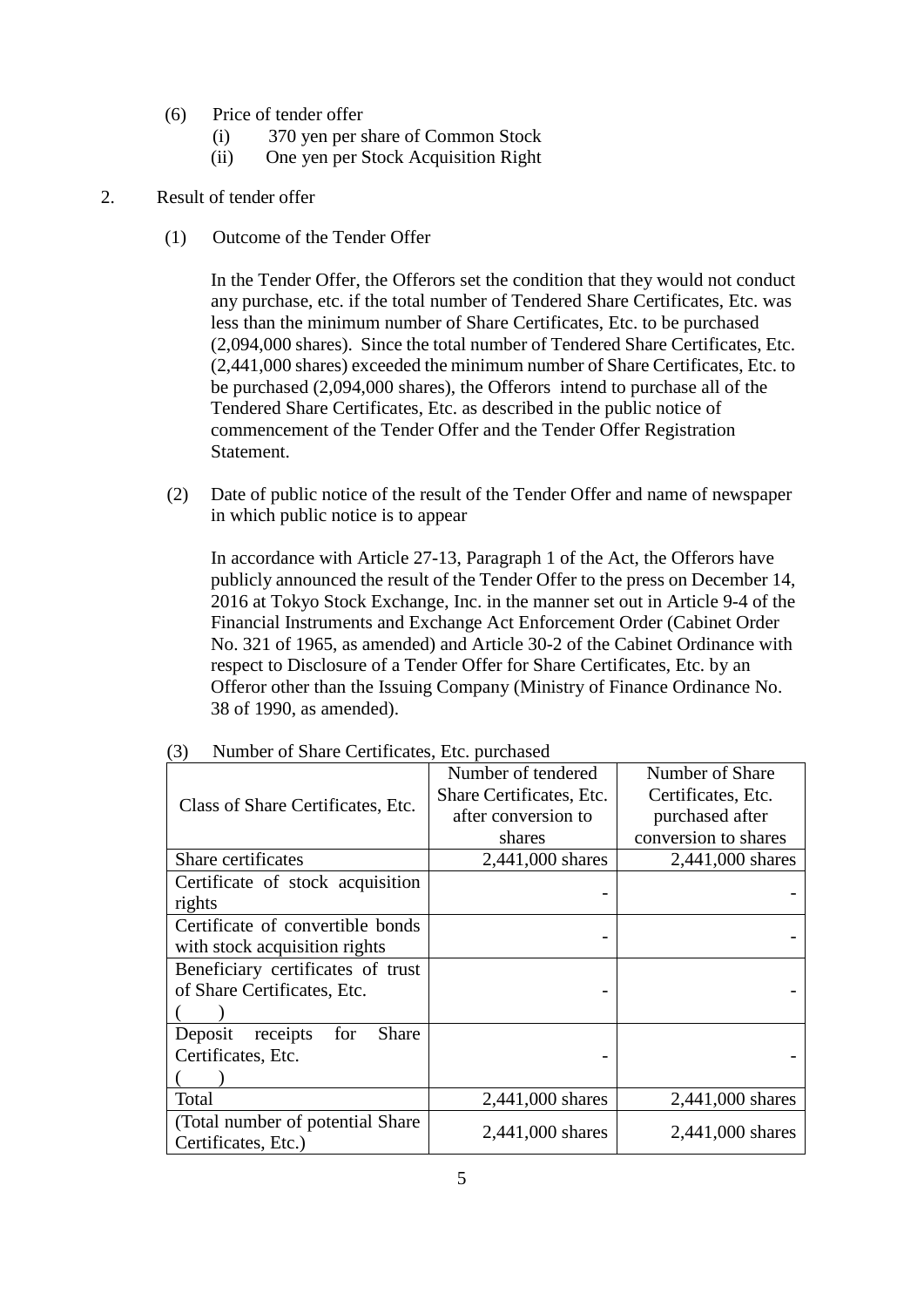- (6) Price of tender offer
	- (i) 370 yen per share of Common Stock
	- (ii) One yen per Stock Acquisition Right

## 2. Result of tender offer

(1) Outcome of the Tender Offer

In the Tender Offer, the Offerors set the condition that they would not conduct any purchase, etc. if the total number of Tendered Share Certificates, Etc. was less than the minimum number of Share Certificates, Etc. to be purchased (2,094,000 shares). Since the total number of Tendered Share Certificates, Etc. (2,441,000 shares) exceeded the minimum number of Share Certificates, Etc. to be purchased (2,094,000 shares), the Offerors intend to purchase all of the Tendered Share Certificates, Etc. as described in the public notice of commencement of the Tender Offer and the Tender Offer Registration Statement.

(2) Date of public notice of the result of the Tender Offer and name of newspaper in which public notice is to appear

In accordance with Article 27-13, Paragraph 1 of the Act, the Offerors have publicly announced the result of the Tender Offer to the press on December 14, 2016 at Tokyo Stock Exchange, Inc. in the manner set out in Article 9-4 of the Financial Instruments and Exchange Act Enforcement Order (Cabinet Order No. 321 of 1965, as amended) and Article 30-2 of the Cabinet Ordinance with respect to Disclosure of a Tender Offer for Share Certificates, Etc. by an Offeror other than the Issuing Company (Ministry of Finance Ordinance No. 38 of 1990, as amended).

|                                                          | Number of tendered       | Number of Share      |
|----------------------------------------------------------|--------------------------|----------------------|
| Class of Share Certificates, Etc.                        | Share Certificates, Etc. | Certificates, Etc.   |
|                                                          | after conversion to      | purchased after      |
|                                                          | shares                   | conversion to shares |
| Share certificates                                       | 2,441,000 shares         | 2,441,000 shares     |
| Certificate of stock acquisition                         |                          |                      |
| rights                                                   |                          |                      |
| Certificate of convertible bonds                         |                          |                      |
| with stock acquisition rights                            |                          |                      |
| Beneficiary certificates of trust                        |                          |                      |
| of Share Certificates, Etc.                              |                          |                      |
|                                                          |                          |                      |
| Share<br>Deposit<br>receipts<br>for                      |                          |                      |
| Certificates, Etc.                                       |                          |                      |
|                                                          |                          |                      |
| Total                                                    | 2,441,000 shares         | 2,441,000 shares     |
| (Total number of potential Share)<br>Certificates, Etc.) | 2,441,000 shares         | 2,441,000 shares     |

(3) Number of Share Certificates, Etc. purchased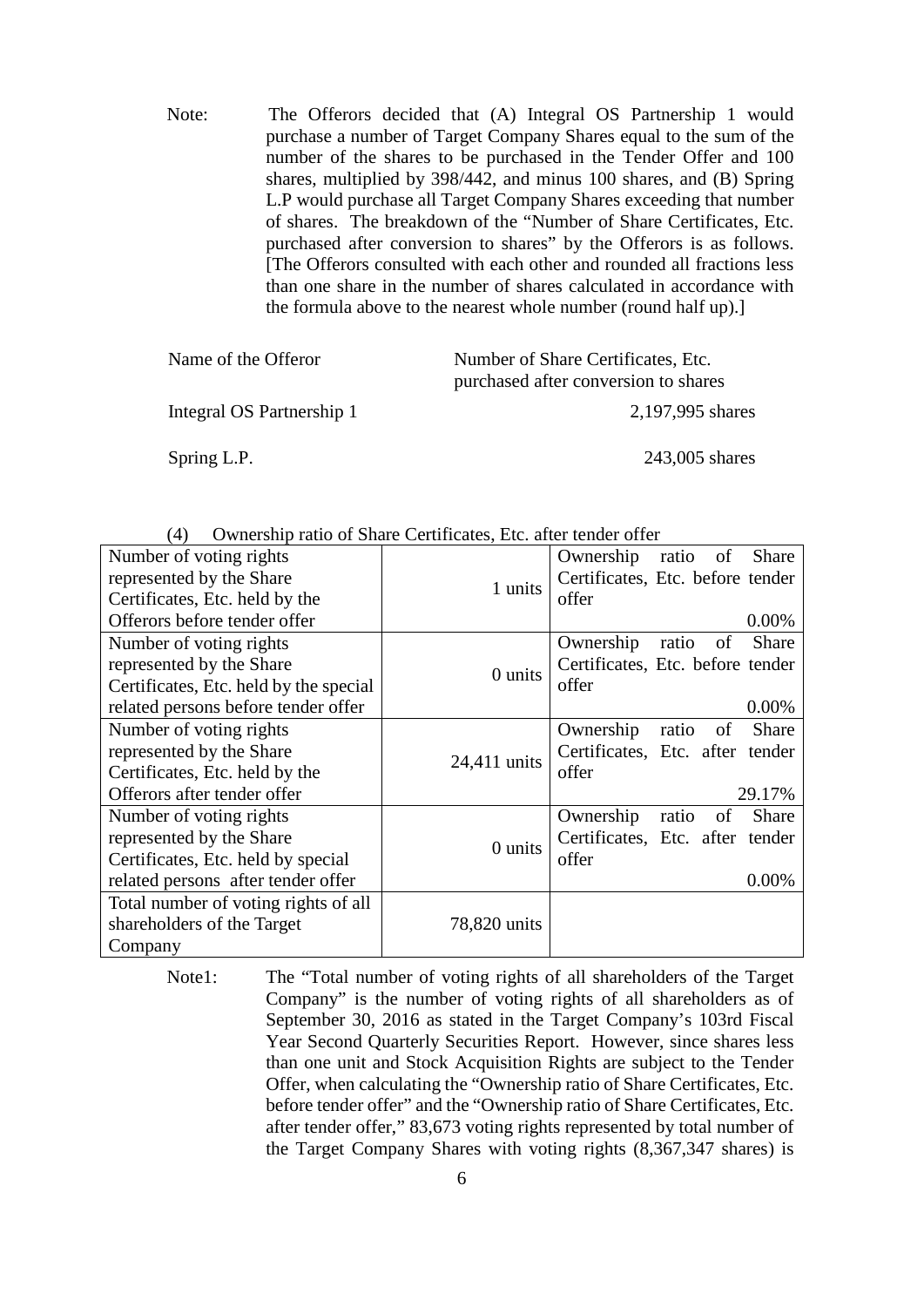Note: The Offerors decided that (A) Integral OS Partnership 1 would purchase a number of Target Company Shares equal to the sum of the number of the shares to be purchased in the Tender Offer and 100 shares, multiplied by 398/442, and minus 100 shares, and (B) Spring L.P would purchase all Target Company Shares exceeding that number of shares. The breakdown of the "Number of Share Certificates, Etc. purchased after conversion to shares" by the Offerors is as follows. [The Offerors consulted with each other and rounded all fractions less than one share in the number of shares calculated in accordance with the formula above to the nearest whole number (round half up).]

| Name of the Offeror       | Number of Share Certificates, Etc.<br>purchased after conversion to shares |  |
|---------------------------|----------------------------------------------------------------------------|--|
| Integral OS Partnership 1 | 2,197,995 shares                                                           |  |
| Spring L.P.               | 243,005 shares                                                             |  |

| († 1<br>Ownership ratio of share Certificates, Etc. after tender offer |              |                                   |  |  |
|------------------------------------------------------------------------|--------------|-----------------------------------|--|--|
| Number of voting rights                                                |              | Ownership ratio<br>Share<br>of    |  |  |
| represented by the Share                                               |              | Certificates, Etc. before tender  |  |  |
| Certificates, Etc. held by the                                         | 1 units      | offer                             |  |  |
| Offerors before tender offer                                           |              | 0.00%                             |  |  |
| Number of voting rights                                                |              | Ownership<br>Share<br>ratio<br>of |  |  |
| represented by the Share                                               |              | Certificates, Etc. before tender  |  |  |
| Certificates, Etc. held by the special                                 | 0 units      | offer                             |  |  |
| related persons before tender offer                                    |              | 0.00%                             |  |  |
| Number of voting rights                                                |              | Ownership<br>Share<br>ratio<br>of |  |  |
| represented by the Share                                               |              | Certificates, Etc. after tender   |  |  |
| Certificates, Etc. held by the                                         | 24,411 units | offer                             |  |  |
| Offerors after tender offer                                            |              | 29.17%                            |  |  |
| Number of voting rights                                                |              | Ownership<br>of<br>Share<br>ratio |  |  |
| represented by the Share                                               |              | Certificates, Etc. after tender   |  |  |
| Certificates, Etc. held by special                                     | 0 units      | offer                             |  |  |
| related persons after tender offer                                     |              | 0.00%                             |  |  |
| Total number of voting rights of all                                   |              |                                   |  |  |
| shareholders of the Target                                             | 78,820 units |                                   |  |  |
| Company                                                                |              |                                   |  |  |

 $(4)$  Ownership ratio of Share Certificates. Etc. after tender offer

Note1: The "Total number of voting rights of all shareholders of the Target Company" is the number of voting rights of all shareholders as of September 30, 2016 as stated in the Target Company's 103rd Fiscal Year Second Quarterly Securities Report. However, since shares less than one unit and Stock Acquisition Rights are subject to the Tender Offer, when calculating the "Ownership ratio of Share Certificates, Etc. before tender offer" and the "Ownership ratio of Share Certificates, Etc. after tender offer," 83,673 voting rights represented by total number of the Target Company Shares with voting rights (8,367,347 shares) is